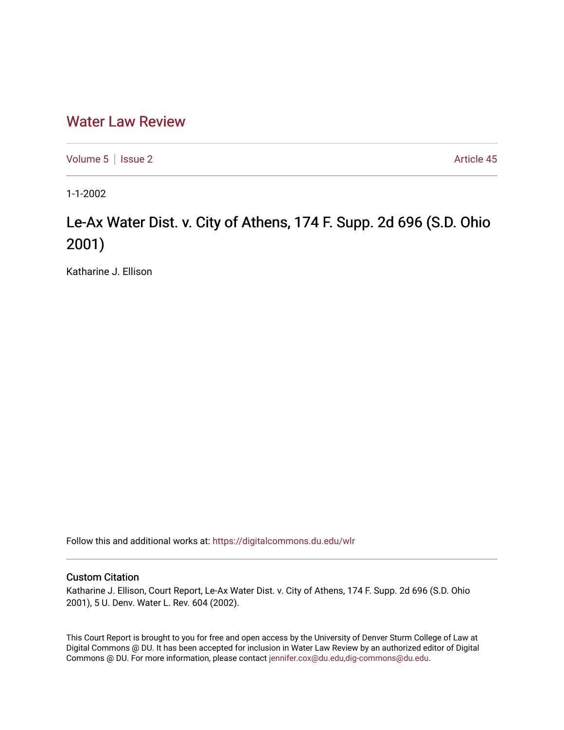# [Water Law Review](https://digitalcommons.du.edu/wlr)

[Volume 5](https://digitalcommons.du.edu/wlr/vol5) | [Issue 2](https://digitalcommons.du.edu/wlr/vol5/iss2) Article 45

1-1-2002

# Le-Ax Water Dist. v. City of Athens, 174 F. Supp. 2d 696 (S.D. Ohio 2001)

Katharine J. Ellison

Follow this and additional works at: [https://digitalcommons.du.edu/wlr](https://digitalcommons.du.edu/wlr?utm_source=digitalcommons.du.edu%2Fwlr%2Fvol5%2Fiss2%2F45&utm_medium=PDF&utm_campaign=PDFCoverPages) 

## Custom Citation

Katharine J. Ellison, Court Report, Le-Ax Water Dist. v. City of Athens, 174 F. Supp. 2d 696 (S.D. Ohio 2001), 5 U. Denv. Water L. Rev. 604 (2002).

This Court Report is brought to you for free and open access by the University of Denver Sturm College of Law at Digital Commons @ DU. It has been accepted for inclusion in Water Law Review by an authorized editor of Digital Commons @ DU. For more information, please contact [jennifer.cox@du.edu,dig-commons@du.edu.](mailto:jennifer.cox@du.edu,dig-commons@du.edu)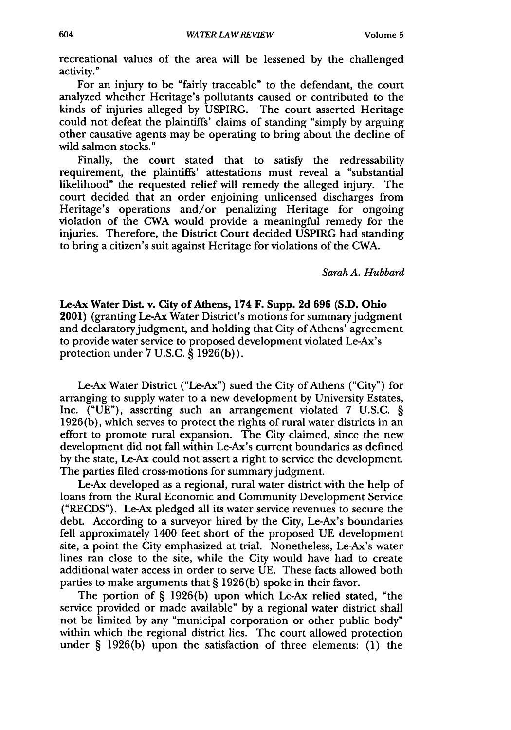recreational values of the area will be lessened by the challenged activity."

For an injury to be "fairly traceable" to the defendant, the court analyzed whether Heritage's pollutants caused or contributed to the kinds of injuries alleged by USPIRG. The court asserted Heritage could not defeat the plaintiffs' claims of standing "simply by arguing other causative agents may be operating to bring about the decline of wild salmon stocks."

Finally, the court stated that to satisfy the redressability requirement, the plaintiffs' attestations must reveal a "substantial likelihood" the requested relief will remedy the alleged injury. The court decided that an order enjoining unlicensed discharges from Heritage's operations and/or penalizing Heritage for ongoing violation of the CWA would provide a meaningful remedy for the injuries. Therefore, the District Court decided USPIRG had standing to bring a citizen's suit against Heritage for violations of the CWA.

*Sarah A. Hubbard*

Le-Ax Water Dist. v. **City** of Athens, 174 F. Supp. **2d 696 (S.D.** Ohio 2001) (granting Le-Ax Water District's motions for summary judgment and declaratory judgment, and holding that City of Athens' agreement to provide water service to proposed development violated Le-Ax's protection under 7 U.S.C. § 1926(b)).

Le-Ax Water District ("Le-Ax") sued the City of Athens ("City") for arranging to supply water to a new development by University Estates, Inc. ("UE"), asserting such an arrangement violated 7 U.S.C. § 1926(b), which serves to protect the rights of rural water districts in an effort to promote rural expansion. The City claimed, since the new development did not fall within Le-Ax's current boundaries as defined by the state, Le-Ax could not assert a right to service the development. The parties filed cross-motions for summary judgment.

Le-Ax developed as a regional, rural water district with the help of loans from the Rural Economic and Community Development Service ("RECDS"). Le-Ax pledged all its water service revenues to secure the debt. According to a surveyor hired by the City, Le-Ax's boundaries fell approximately 1400 feet short of the proposed UE development site, a point the City emphasized at trial. Nonetheless, Le-Ax's water lines ran close to the site, while the City would have had to create additional water access in order to serve UE. These facts allowed both parties to make arguments that § 1926(b) spoke in their favor.

The portion of § 1926(b) upon which Le-Ax relied stated, "the service provided or made available" by a regional water district shall not be limited by any "municipal corporation or other public body" within which the regional district lies. The court allowed protection under § 1926(b) upon the satisfaction of three elements: (1) the